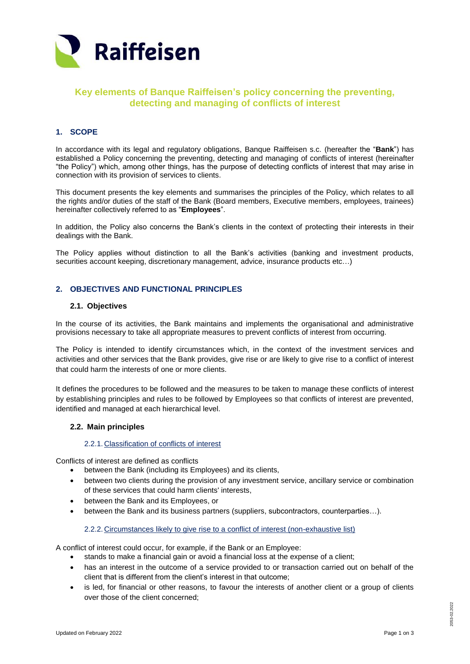

# **Key elements of Banque Raiffeisen's policy concerning the preventing, detecting and managing of conflicts of interest**

## **1. SCOPE**

In accordance with its legal and regulatory obligations, Banque Raiffeisen s.c. (hereafter the "**Bank**") has established a Policy concerning the preventing, detecting and managing of conflicts of interest (hereinafter "the Policy") which, among other things, has the purpose of detecting conflicts of interest that may arise in connection with its provision of services to clients.

This document presents the key elements and summarises the principles of the Policy, which relates to all the rights and/or duties of the staff of the Bank (Board members, Executive members, employees, trainees) hereinafter collectively referred to as "**Employees**".

In addition, the Policy also concerns the Bank's clients in the context of protecting their interests in their dealings with the Bank.

The Policy applies without distinction to all the Bank's activities (banking and investment products, securities account keeping, discretionary management, advice, insurance products etc…)

## **2. OBJECTIVES AND FUNCTIONAL PRINCIPLES**

#### **2.1. Objectives**

In the course of its activities, the Bank maintains and implements the organisational and administrative provisions necessary to take all appropriate measures to prevent conflicts of interest from occurring.

The Policy is intended to identify circumstances which, in the context of the investment services and activities and other services that the Bank provides, give rise or are likely to give rise to a conflict of interest that could harm the interests of one or more clients.

It defines the procedures to be followed and the measures to be taken to manage these conflicts of interest by establishing principles and rules to be followed by Employees so that conflicts of interest are prevented, identified and managed at each hierarchical level.

#### **2.2. Main principles**

#### 2.2.1. Classification of conflicts of interest

Conflicts of interest are defined as conflicts

- between the Bank (including its Employees) and its clients,
- between two clients during the provision of any investment service, ancillary service or combination of these services that could harm clients' interests,
- between the Bank and its Employees, or
- between the Bank and its business partners (suppliers, subcontractors, counterparties…).

2.2.2. Circumstances likely to give rise to a conflict of interest (non-exhaustive list)

A conflict of interest could occur, for example, if the Bank or an Employee:

- stands to make a financial gain or avoid a financial loss at the expense of a client;
- has an interest in the outcome of a service provided to or transaction carried out on behalf of the client that is different from the client's interest in that outcome;
- is led, for financial or other reasons, to favour the interests of another client or a group of clients over those of the client concerned;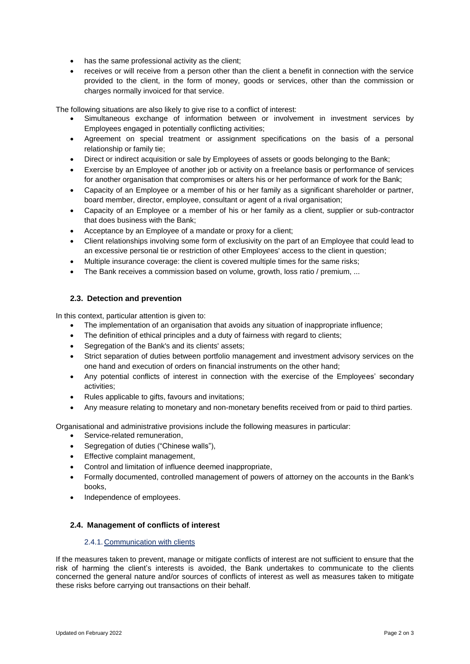- has the same professional activity as the client;
- receives or will receive from a person other than the client a benefit in connection with the service provided to the client, in the form of money, goods or services, other than the commission or charges normally invoiced for that service.

The following situations are also likely to give rise to a conflict of interest:

- Simultaneous exchange of information between or involvement in investment services by Employees engaged in potentially conflicting activities;
- Agreement on special treatment or assignment specifications on the basis of a personal relationship or family tie;
- Direct or indirect acquisition or sale by Employees of assets or goods belonging to the Bank;
- Exercise by an Employee of another job or activity on a freelance basis or performance of services for another organisation that compromises or alters his or her performance of work for the Bank;
- Capacity of an Employee or a member of his or her family as a significant shareholder or partner, board member, director, employee, consultant or agent of a rival organisation;
- Capacity of an Employee or a member of his or her family as a client, supplier or sub-contractor that does business with the Bank;
- Acceptance by an Employee of a mandate or proxy for a client;
- Client relationships involving some form of exclusivity on the part of an Employee that could lead to an excessive personal tie or restriction of other Employees' access to the client in question;
- Multiple insurance coverage: the client is covered multiple times for the same risks;
- The Bank receives a commission based on volume, growth, loss ratio / premium, ...

### **2.3. Detection and prevention**

In this context, particular attention is given to:

- The implementation of an organisation that avoids any situation of inappropriate influence;
- The definition of ethical principles and a duty of fairness with regard to clients;
- Segregation of the Bank's and its clients' assets:
- Strict separation of duties between portfolio management and investment advisory services on the one hand and execution of orders on financial instruments on the other hand;
- Any potential conflicts of interest in connection with the exercise of the Employees' secondary activities;
- Rules applicable to gifts, favours and invitations;
- Any measure relating to monetary and non-monetary benefits received from or paid to third parties.

Organisational and administrative provisions include the following measures in particular:

- Service-related remuneration,
- Segregation of duties ("Chinese walls"),
- Effective complaint management,
- Control and limitation of influence deemed inappropriate,
- Formally documented, controlled management of powers of attorney on the accounts in the Bank's books,
- Independence of employees.

### **2.4. Management of conflicts of interest**

#### 2.4.1. Communication with clients

If the measures taken to prevent, manage or mitigate conflicts of interest are not sufficient to ensure that the risk of harming the client's interests is avoided, the Bank undertakes to communicate to the clients concerned the general nature and/or sources of conflicts of interest as well as measures taken to mitigate these risks before carrying out transactions on their behalf.